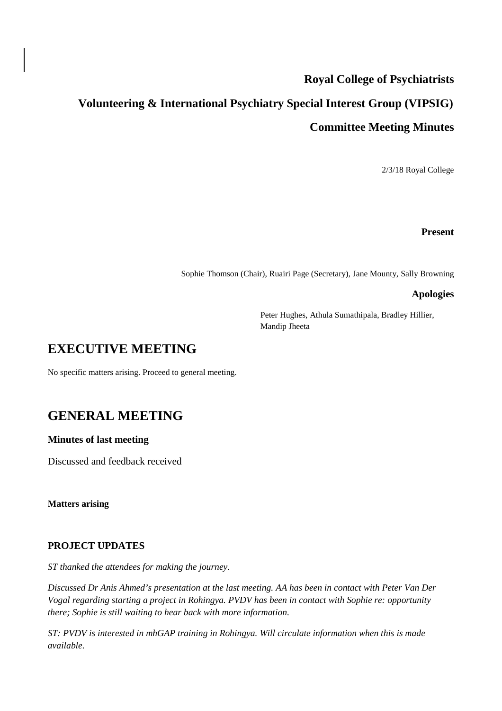# **Royal College of Psychiatrists**

# **Volunteering & International Psychiatry Special Interest Group (VIPSIG) Committee Meeting Minutes**

2/3/18 Royal College

#### **Present**

Sophie Thomson (Chair), Ruairi Page (Secretary), Jane Mounty, Sally Browning

#### **Apologies**

Peter Hughes, Athula Sumathipala, Bradley Hillier, Mandip Jheeta

### **EXECUTIVE MEETING**

No specific matters arising. Proceed to general meeting.

# **GENERAL MEETING**

#### **Minutes of last meeting**

Discussed and feedback received

**Matters arising**

#### **PROJECT UPDATES**

*ST thanked the attendees for making the journey.*

*Discussed Dr Anis Ahmed's presentation at the last meeting. AA has been in contact with Peter Van Der Vogal regarding starting a project in Rohingya. PVDV has been in contact with Sophie re: opportunity there; Sophie is still waiting to hear back with more information.*

*ST: PVDV is interested in mhGAP training in Rohingya. Will circulate information when this is made available.*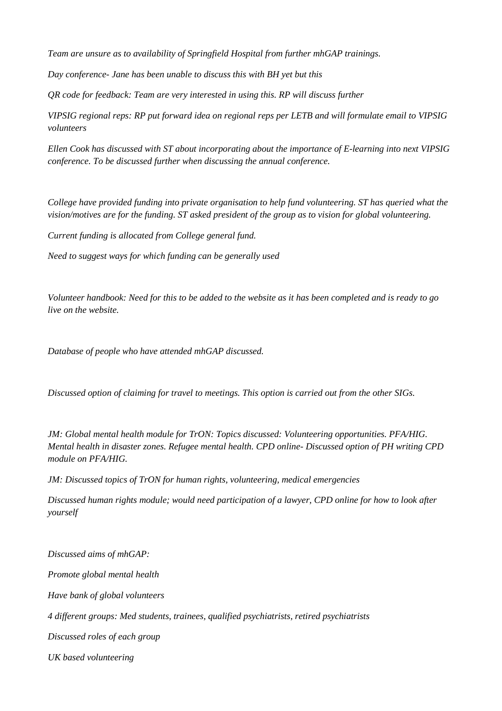*Team are unsure as to availability of Springfield Hospital from further mhGAP trainings.*

*Day conference- Jane has been unable to discuss this with BH yet but this* 

*QR code for feedback: Team are very interested in using this. RP will discuss further*

*VIPSIG regional reps: RP put forward idea on regional reps per LETB and will formulate email to VIPSIG volunteers*

*Ellen Cook has discussed with ST about incorporating about the importance of E-learning into next VIPSIG conference. To be discussed further when discussing the annual conference.*

*College have provided funding into private organisation to help fund volunteering. ST has queried what the vision/motives are for the funding. ST asked president of the group as to vision for global volunteering.* 

*Current funding is allocated from College general fund.*

*Need to suggest ways for which funding can be generally used*

*Volunteer handbook: Need for this to be added to the website as it has been completed and is ready to go live on the website.*

*Database of people who have attended mhGAP discussed.* 

*Discussed option of claiming for travel to meetings. This option is carried out from the other SIGs.*

*JM: Global mental health module for TrON: Topics discussed: Volunteering opportunities. PFA/HIG. Mental health in disaster zones. Refugee mental health. CPD online- Discussed option of PH writing CPD module on PFA/HIG.*

*JM: Discussed topics of TrON for human rights, volunteering, medical emergencies*

*Discussed human rights module; would need participation of a lawyer, CPD online for how to look after yourself*

*Discussed aims of mhGAP: Promote global mental health Have bank of global volunteers 4 different groups: Med students, trainees, qualified psychiatrists, retired psychiatrists Discussed roles of each group*

*UK based volunteering*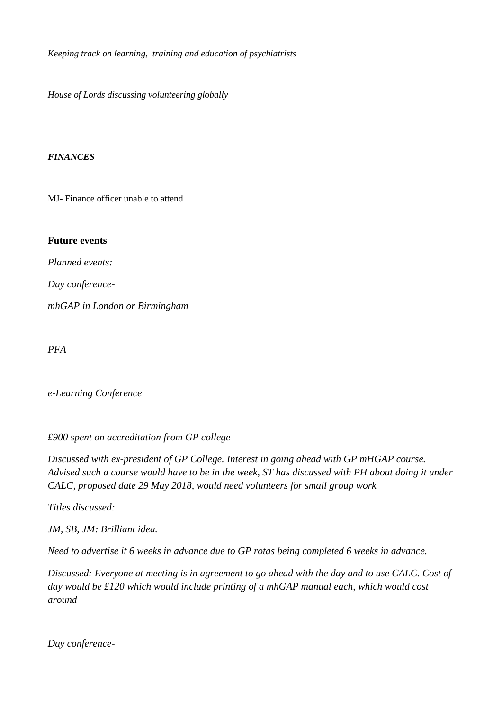*Keeping track on learning, training and education of psychiatrists*

*House of Lords discussing volunteering globally*

#### *FINANCES*

MJ- Finance officer unable to attend

#### **Future events**

*Planned events:*

*Day conference-*

*mhGAP in London or Birmingham*

*PFA*

#### *e-Learning Conference*

*£900 spent on accreditation from GP college*

*Discussed with ex-president of GP College. Interest in going ahead with GP mHGAP course. Advised such a course would have to be in the week, ST has discussed with PH about doing it under CALC, proposed date 29 May 2018, would need volunteers for small group work*

*Titles discussed:* 

*JM, SB, JM: Brilliant idea.*

*Need to advertise it 6 weeks in advance due to GP rotas being completed 6 weeks in advance.*

*Discussed: Everyone at meeting is in agreement to go ahead with the day and to use CALC. Cost of day would be £120 which would include printing of a mhGAP manual each, which would cost around* 

*Day conference-*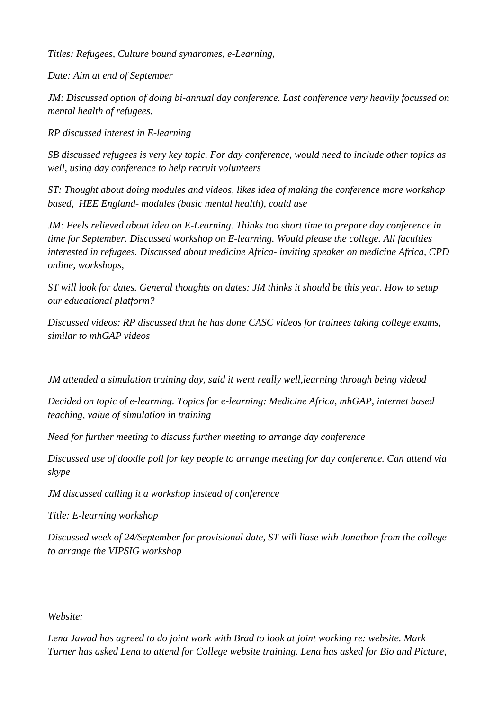*Titles: Refugees, Culture bound syndromes, e-Learning,* 

*Date: Aim at end of September*

*JM: Discussed option of doing bi-annual day conference. Last conference very heavily focussed on mental health of refugees.*

*RP discussed interest in E-learning*

*SB discussed refugees is very key topic. For day conference, would need to include other topics as well, using day conference to help recruit volunteers*

*ST: Thought about doing modules and videos, likes idea of making the conference more workshop based, HEE England- modules (basic mental health), could use* 

*JM: Feels relieved about idea on E-Learning. Thinks too short time to prepare day conference in time for September. Discussed workshop on E-learning. Would please the college. All faculties interested in refugees. Discussed about medicine Africa- inviting speaker on medicine Africa, CPD online, workshops,* 

*ST will look for dates. General thoughts on dates: JM thinks it should be this year. How to setup our educational platform?* 

*Discussed videos: RP discussed that he has done CASC videos for trainees taking college exams, similar to mhGAP videos* 

*JM attended a simulation training day, said it went really well,learning through being videod*

*Decided on topic of e-learning. Topics for e-learning: Medicine Africa, mhGAP, internet based teaching, value of simulation in training*

*Need for further meeting to discuss further meeting to arrange day conference*

*Discussed use of doodle poll for key people to arrange meeting for day conference. Can attend via skype*

*JM discussed calling it a workshop instead of conference*

*Title: E-learning workshop*

*Discussed week of 24/September for provisional date, ST will liase with Jonathon from the college to arrange the VIPSIG workshop*

*Website:*

*Lena Jawad has agreed to do joint work with Brad to look at joint working re: website. Mark Turner has asked Lena to attend for College website training. Lena has asked for Bio and Picture,*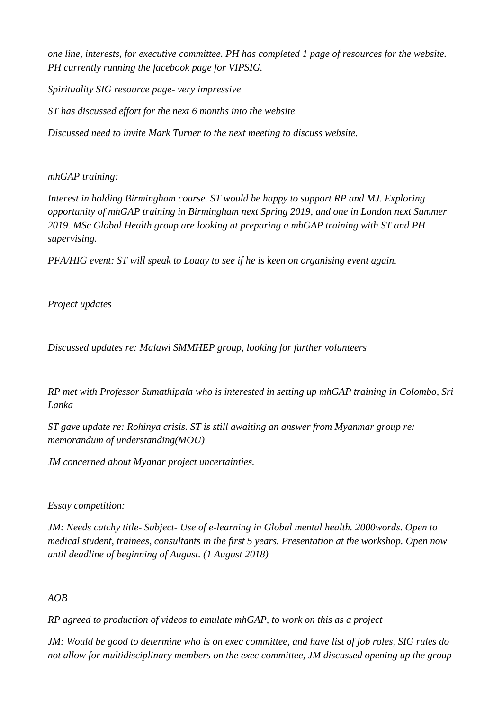*one line, interests, for executive committee. PH has completed 1 page of resources for the website. PH currently running the facebook page for VIPSIG.* 

*Spirituality SIG resource page- very impressive ST has discussed effort for the next 6 months into the website Discussed need to invite Mark Turner to the next meeting to discuss website.*

### *mhGAP training:*

*Interest in holding Birmingham course. ST would be happy to support RP and MJ. Exploring opportunity of mhGAP training in Birmingham next Spring 2019, and one in London next Summer 2019. MSc Global Health group are looking at preparing a mhGAP training with ST and PH supervising.*

*PFA/HIG event: ST will speak to Louay to see if he is keen on organising event again.*

# *Project updates*

*Discussed updates re: Malawi SMMHEP group, looking for further volunteers*

*RP met with Professor Sumathipala who is interested in setting up mhGAP training in Colombo, Sri Lanka*

*ST gave update re: Rohinya crisis. ST is still awaiting an answer from Myanmar group re: memorandum of understanding(MOU)*

*JM concerned about Myanar project uncertainties.*

# *Essay competition:*

*JM: Needs catchy title- Subject- Use of e-learning in Global mental health. 2000words. Open to medical student, trainees, consultants in the first 5 years. Presentation at the workshop. Open now until deadline of beginning of August. (1 August 2018)*

# *AOB*

*RP agreed to production of videos to emulate mhGAP, to work on this as a project*

*JM: Would be good to determine who is on exec committee, and have list of job roles, SIG rules do not allow for multidisciplinary members on the exec committee, JM discussed opening up the group*